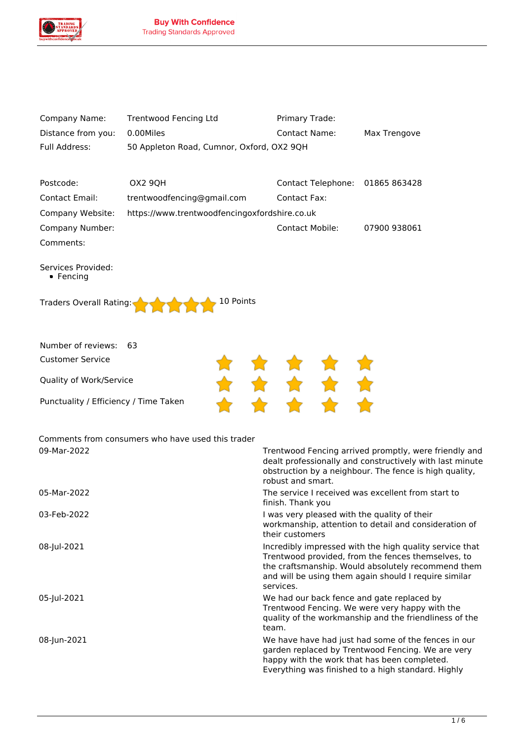

| Company Name:      | Trentwood Fencing Ltd                     | Primary Trade:       |              |
|--------------------|-------------------------------------------|----------------------|--------------|
| Distance from you: | 0.00Miles                                 | <b>Contact Name:</b> | Max Trengove |
| Full Address:      | 50 Appleton Road, Cumnor, Oxford, OX2 9QH |                      |              |

| Postcode:        | OX2 90H                                       | Contact Telephone: 01865 863428 |              |
|------------------|-----------------------------------------------|---------------------------------|--------------|
| Contact Email:   | trentwoodfencing@gmail.com                    | Contact Fax:                    |              |
| Company Website: | https://www.trentwoodfencingoxfordshire.co.uk |                                 |              |
| Company Number:  |                                               | <b>Contact Mobile:</b>          | 07900 938061 |
| Comments:        |                                               |                                 |              |

*Services Provided: Fencing*

| Traders Overall Rating: |  |  |  |  | $\triangle$ 10 Points |
|-------------------------|--|--|--|--|-----------------------|
|                         |  |  |  |  |                       |

| Number of reviews: 63                 |  |           |    |
|---------------------------------------|--|-----------|----|
| Customer Service                      |  | * * * * * |    |
| Quality of Work/Service               |  | .         | 57 |
| Punctuality / Efficiency / Time Taken |  |           |    |

*Comments from consumers who have used this trader 09-Mar-2022 Trentwood Fencing arrived promptly, were friendly and*

|             | dealt professionally and constructively with last minute<br>obstruction by a neighbour. The fence is high quality,<br>robust and smart.                                                                                                   |
|-------------|-------------------------------------------------------------------------------------------------------------------------------------------------------------------------------------------------------------------------------------------|
| 05-Mar-2022 | The service I received was excellent from start to<br>finish. Thank you                                                                                                                                                                   |
| 03-Feb-2022 | I was very pleased with the quality of their<br>workmanship, attention to detail and consideration of<br>their customers                                                                                                                  |
| 08-Jul-2021 | Incredibly impressed with the high quality service that<br>Trentwood provided, from the fences themselves, to<br>the craftsmanship. Would absolutely recommend them<br>and will be using them again should I require similar<br>services. |
| 05-Jul-2021 | We had our back fence and gate replaced by<br>Trentwood Fencing. We were very happy with the<br>quality of the workmanship and the friendliness of the<br>team.                                                                           |
| 08-Jun-2021 | We have have had just had some of the fences in our<br>garden replaced by Trentwood Fencing. We are very<br>happy with the work that has been completed.<br>Everything was finished to a high standard. Highly                            |
|             |                                                                                                                                                                                                                                           |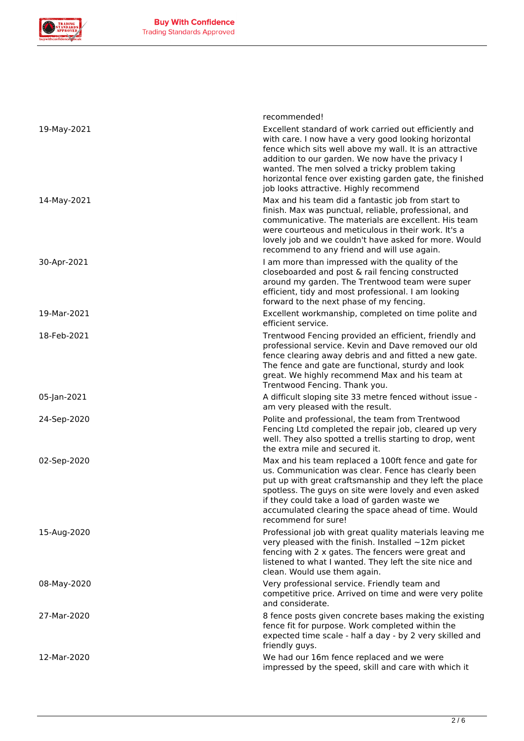

|             | recommended!                                                                                                                                                                                                                                                                                                                                                                            |
|-------------|-----------------------------------------------------------------------------------------------------------------------------------------------------------------------------------------------------------------------------------------------------------------------------------------------------------------------------------------------------------------------------------------|
| 19-May-2021 | Excellent standard of work carried out efficiently and<br>with care. I now have a very good looking horizontal<br>fence which sits well above my wall. It is an attractive<br>addition to our garden. We now have the privacy I<br>wanted. The men solved a tricky problem taking<br>horizontal fence over existing garden gate, the finished<br>job looks attractive. Highly recommend |
| 14-May-2021 | Max and his team did a fantastic job from start to<br>finish. Max was punctual, reliable, professional, and<br>communicative. The materials are excellent. His team<br>were courteous and meticulous in their work. It's a<br>lovely job and we couldn't have asked for more. Would<br>recommend to any friend and will use again.                                                      |
| 30-Apr-2021 | I am more than impressed with the quality of the<br>closeboarded and post & rail fencing constructed<br>around my garden. The Trentwood team were super<br>efficient, tidy and most professional. I am looking<br>forward to the next phase of my fencing.                                                                                                                              |
| 19-Mar-2021 | Excellent workmanship, completed on time polite and<br>efficient service.                                                                                                                                                                                                                                                                                                               |
| 18-Feb-2021 | Trentwood Fencing provided an efficient, friendly and<br>professional service. Kevin and Dave removed our old<br>fence clearing away debris and and fitted a new gate.<br>The fence and gate are functional, sturdy and look<br>great. We highly recommend Max and his team at<br>Trentwood Fencing. Thank you.                                                                         |
| 05-Jan-2021 | A difficult sloping site 33 metre fenced without issue -<br>am very pleased with the result.                                                                                                                                                                                                                                                                                            |
| 24-Sep-2020 | Polite and professional, the team from Trentwood<br>Fencing Ltd completed the repair job, cleared up very<br>well. They also spotted a trellis starting to drop, went<br>the extra mile and secured it.                                                                                                                                                                                 |
| 02-Sep-2020 | Max and his team replaced a 100ft fence and gate for<br>us. Communication was clear. Fence has clearly been<br>put up with great craftsmanship and they left the place<br>spotless. The guys on site were lovely and even asked<br>if they could take a load of garden waste we<br>accumulated clearing the space ahead of time. Would<br>recommend for sure!                           |
| 15-Aug-2020 | Professional job with great quality materials leaving me<br>very pleased with the finish. Installed $\sim$ 12m picket<br>fencing with 2 x gates. The fencers were great and<br>listened to what I wanted. They left the site nice and<br>clean. Would use them again.                                                                                                                   |
| 08-May-2020 | Very professional service. Friendly team and<br>competitive price. Arrived on time and were very polite<br>and considerate.                                                                                                                                                                                                                                                             |
| 27-Mar-2020 | 8 fence posts given concrete bases making the existing<br>fence fit for purpose. Work completed within the<br>expected time scale - half a day - by 2 very skilled and<br>friendly guys.                                                                                                                                                                                                |
| 12-Mar-2020 | We had our 16m fence replaced and we were<br>impressed by the speed, skill and care with which it                                                                                                                                                                                                                                                                                       |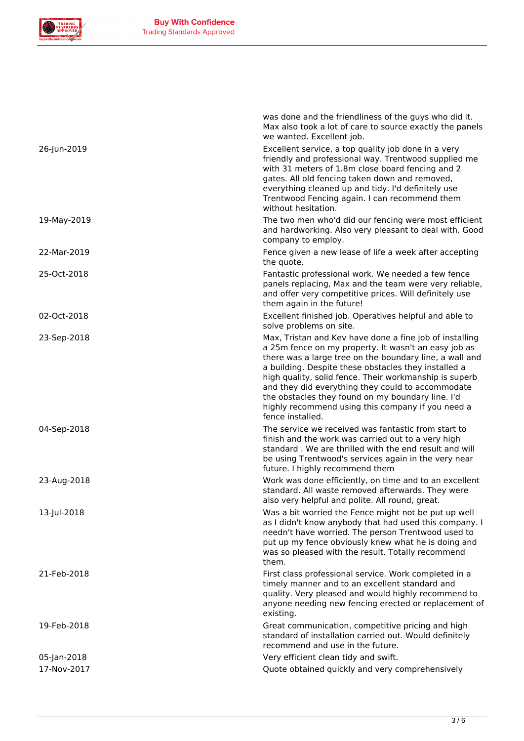

|             | was done and the friendliness of the guys who did it.<br>Max also took a lot of care to source exactly the panels<br>we wanted. Excellent job.                                                                                                                                                                                                                                                                                                                                  |
|-------------|---------------------------------------------------------------------------------------------------------------------------------------------------------------------------------------------------------------------------------------------------------------------------------------------------------------------------------------------------------------------------------------------------------------------------------------------------------------------------------|
| 26-Jun-2019 | Excellent service, a top quality job done in a very<br>friendly and professional way. Trentwood supplied me<br>with 31 meters of 1.8m close board fencing and 2<br>gates. All old fencing taken down and removed,<br>everything cleaned up and tidy. I'd definitely use<br>Trentwood Fencing again. I can recommend them<br>without hesitation.                                                                                                                                 |
| 19-May-2019 | The two men who'd did our fencing were most efficient<br>and hardworking. Also very pleasant to deal with. Good<br>company to employ.                                                                                                                                                                                                                                                                                                                                           |
| 22-Mar-2019 | Fence given a new lease of life a week after accepting<br>the quote.                                                                                                                                                                                                                                                                                                                                                                                                            |
| 25-Oct-2018 | Fantastic professional work. We needed a few fence<br>panels replacing, Max and the team were very reliable,<br>and offer very competitive prices. Will definitely use<br>them again in the future!                                                                                                                                                                                                                                                                             |
| 02-Oct-2018 | Excellent finished job. Operatives helpful and able to<br>solve problems on site.                                                                                                                                                                                                                                                                                                                                                                                               |
| 23-Sep-2018 | Max, Tristan and Kev have done a fine job of installing<br>a 25m fence on my property. It wasn't an easy job as<br>there was a large tree on the boundary line, a wall and<br>a building. Despite these obstacles they installed a<br>high quality, solid fence. Their workmanship is superb<br>and they did everything they could to accommodate<br>the obstacles they found on my boundary line. I'd<br>highly recommend using this company if you need a<br>fence installed. |
| 04-Sep-2018 | The service we received was fantastic from start to<br>finish and the work was carried out to a very high<br>standard. We are thrilled with the end result and will<br>be using Trentwood's services again in the very near<br>future. I highly recommend them                                                                                                                                                                                                                  |
| 23-Aug-2018 | Work was done efficiently, on time and to an excellent<br>standard. All waste removed afterwards. They were<br>also very helpful and polite. All round, great.                                                                                                                                                                                                                                                                                                                  |
| 13-Jul-2018 | Was a bit worried the Fence might not be put up well<br>as I didn't know anybody that had used this company. I<br>needn't have worried. The person Trentwood used to<br>put up my fence obviously knew what he is doing and<br>was so pleased with the result. Totally recommend<br>them.                                                                                                                                                                                       |
| 21-Feb-2018 | First class professional service. Work completed in a<br>timely manner and to an excellent standard and<br>quality. Very pleased and would highly recommend to<br>anyone needing new fencing erected or replacement of<br>existing.                                                                                                                                                                                                                                             |
| 19-Feb-2018 | Great communication, competitive pricing and high<br>standard of installation carried out. Would definitely<br>recommend and use in the future.                                                                                                                                                                                                                                                                                                                                 |
| 05-Jan-2018 | Very efficient clean tidy and swift.                                                                                                                                                                                                                                                                                                                                                                                                                                            |
| 17-Nov-2017 | Quote obtained quickly and very comprehensively                                                                                                                                                                                                                                                                                                                                                                                                                                 |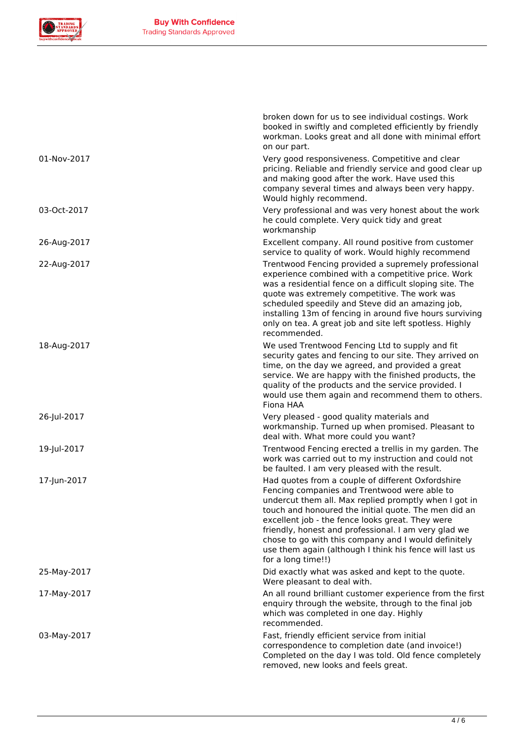

|             | broken down for us to see individual costings. Work<br>booked in swiftly and completed efficiently by friendly<br>workman. Looks great and all done with minimal effort<br>on our part.                                                                                                                                                                                                                                                                                 |
|-------------|-------------------------------------------------------------------------------------------------------------------------------------------------------------------------------------------------------------------------------------------------------------------------------------------------------------------------------------------------------------------------------------------------------------------------------------------------------------------------|
| 01-Nov-2017 | Very good responsiveness. Competitive and clear<br>pricing. Reliable and friendly service and good clear up<br>and making good after the work. Have used this<br>company several times and always been very happy.<br>Would highly recommend.                                                                                                                                                                                                                           |
| 03-Oct-2017 | Very professional and was very honest about the work<br>he could complete. Very quick tidy and great<br>workmanship                                                                                                                                                                                                                                                                                                                                                     |
| 26-Aug-2017 | Excellent company. All round positive from customer<br>service to quality of work. Would highly recommend                                                                                                                                                                                                                                                                                                                                                               |
| 22-Aug-2017 | Trentwood Fencing provided a supremely professional<br>experience combined with a competitive price. Work<br>was a residential fence on a difficult sloping site. The<br>quote was extremely competitive. The work was<br>scheduled speedily and Steve did an amazing job,<br>installing 13m of fencing in around five hours surviving<br>only on tea. A great job and site left spotless. Highly<br>recommended.                                                       |
| 18-Aug-2017 | We used Trentwood Fencing Ltd to supply and fit<br>security gates and fencing to our site. They arrived on<br>time, on the day we agreed, and provided a great<br>service. We are happy with the finished products, the<br>quality of the products and the service provided. I<br>would use them again and recommend them to others.<br>Fiona HAA                                                                                                                       |
| 26-Jul-2017 | Very pleased - good quality materials and<br>workmanship. Turned up when promised. Pleasant to<br>deal with. What more could you want?                                                                                                                                                                                                                                                                                                                                  |
| 19-Jul-2017 | Trentwood Fencing erected a trellis in my garden. The<br>work was carried out to my instruction and could not<br>be faulted. I am very pleased with the result.                                                                                                                                                                                                                                                                                                         |
| 17-Jun-2017 | Had quotes from a couple of different Oxfordshire<br>Fencing companies and Trentwood were able to<br>undercut them all. Max replied promptly when I got in<br>touch and honoured the initial quote. The men did an<br>excellent job - the fence looks great. They were<br>friendly, honest and professional. I am very glad we<br>chose to go with this company and I would definitely<br>use them again (although I think his fence will last us<br>for a long time!!) |
| 25-May-2017 | Did exactly what was asked and kept to the quote.<br>Were pleasant to deal with.                                                                                                                                                                                                                                                                                                                                                                                        |
| 17-May-2017 | An all round brilliant customer experience from the first<br>enquiry through the website, through to the final job<br>which was completed in one day. Highly<br>recommended.                                                                                                                                                                                                                                                                                            |
| 03-May-2017 | Fast, friendly efficient service from initial<br>correspondence to completion date (and invoice!)<br>Completed on the day I was told. Old fence completely<br>removed, new looks and feels great.                                                                                                                                                                                                                                                                       |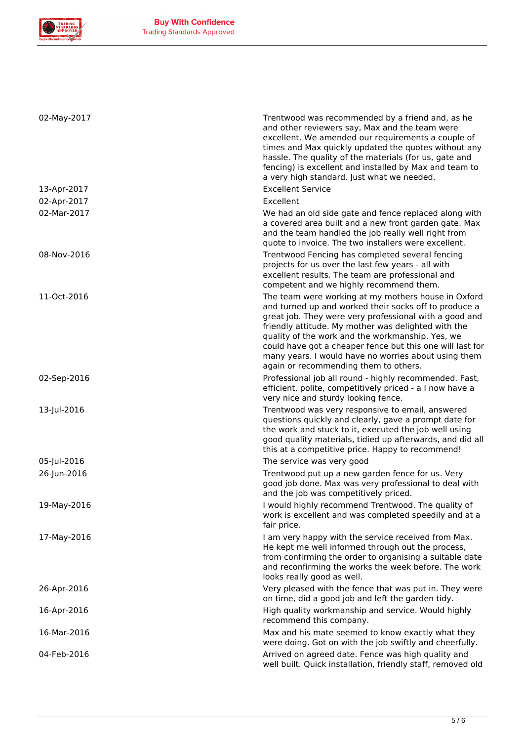

| 02-May-2017 | Trentwood was recommended by a friend and, as he<br>and other reviewers say, Max and the team were<br>excellent. We amended our requirements a couple of<br>times and Max quickly updated the quotes without any                                                                    |
|-------------|-------------------------------------------------------------------------------------------------------------------------------------------------------------------------------------------------------------------------------------------------------------------------------------|
|             | hassle. The quality of the materials (for us, gate and<br>fencing) is excellent and installed by Max and team to<br>a very high standard. Just what we needed.                                                                                                                      |
| 13-Apr-2017 | <b>Excellent Service</b>                                                                                                                                                                                                                                                            |
| 02-Apr-2017 | Excellent                                                                                                                                                                                                                                                                           |
| 02-Mar-2017 | We had an old side gate and fence replaced along with<br>a covered area built and a new front garden gate. Max<br>and the team handled the job really well right from<br>quote to invoice. The two installers were excellent.                                                       |
| 08-Nov-2016 | Trentwood Fencing has completed several fencing<br>projects for us over the last few years - all with<br>excellent results. The team are professional and<br>competent and we highly recommend them.                                                                                |
| 11-Oct-2016 | The team were working at my mothers house in Oxford<br>and turned up and worked their socks off to produce a<br>great job. They were very professional with a good and<br>friendly attitude. My mother was delighted with the                                                       |
|             | quality of the work and the workmanship. Yes, we<br>could have got a cheaper fence but this one will last for<br>many years. I would have no worries about using them<br>again or recommending them to others.                                                                      |
| 02-Sep-2016 | Professional job all round - highly recommended. Fast,<br>efficient, polite, competitively priced - a I now have a<br>very nice and sturdy looking fence.                                                                                                                           |
| 13-Jul-2016 | Trentwood was very responsive to email, answered<br>questions quickly and clearly, gave a prompt date for<br>the work and stuck to it, executed the job well using<br>good quality materials, tidied up afterwards, and did all<br>this at a competitive price. Happy to recommend! |
| 05-Jul-2016 | The service was very good                                                                                                                                                                                                                                                           |
| 26-Jun-2016 | Trentwood put up a new garden fence for us. Very<br>good job done. Max was very professional to deal with<br>and the job was competitively priced.                                                                                                                                  |
| 19-May-2016 | I would highly recommend Trentwood. The quality of<br>work is excellent and was completed speedily and at a<br>fair price.                                                                                                                                                          |
| 17-May-2016 | I am very happy with the service received from Max.<br>He kept me well informed through out the process,<br>from confirming the order to organising a suitable date<br>and reconfirming the works the week before. The work<br>looks really good as well.                           |
| 26-Apr-2016 | Very pleased with the fence that was put in. They were<br>on time, did a good job and left the garden tidy.                                                                                                                                                                         |
| 16-Apr-2016 | High quality workmanship and service. Would highly<br>recommend this company.                                                                                                                                                                                                       |
| 16-Mar-2016 | Max and his mate seemed to know exactly what they<br>were doing. Got on with the job swiftly and cheerfully.                                                                                                                                                                        |
| 04-Feb-2016 | Arrived on agreed date. Fence was high quality and<br>well built. Quick installation, friendly staff, removed old                                                                                                                                                                   |